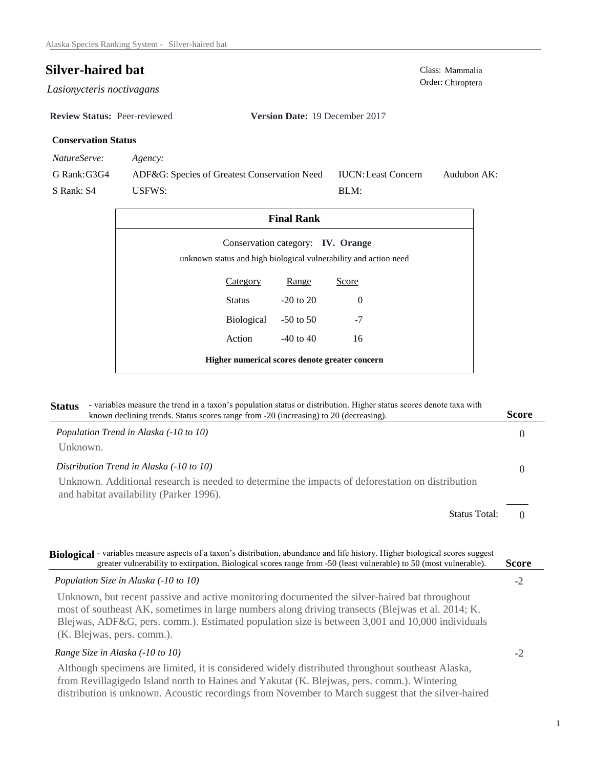# **Silver-haired bat** Class: Mammalia

*Lasionycteris noctivagans* 

**Review Status:** Peer-reviewed **Version Date:** 19 December 2017

## **Conservation Status**

*NatureServe: Agency:*

G Rank:G3G4 S Rank: S4 ADF&G: Species of Greatest Conservation Need USFWS: Audubon AK: BLM: IUCN:Least Concern

| <b>Final Rank</b>                                                                                     |            |               |          |  |  |
|-------------------------------------------------------------------------------------------------------|------------|---------------|----------|--|--|
| Conservation category: IV. Orange<br>unknown status and high biological vulnerability and action need |            |               |          |  |  |
|                                                                                                       | Category   | Range         | Score    |  |  |
|                                                                                                       | Status     | $-20$ to $20$ | $\Omega$ |  |  |
|                                                                                                       | Biological | $-50$ to 50   | $-7$     |  |  |
|                                                                                                       | Action     | $-40$ to $40$ | 16       |  |  |
| Higher numerical scores denote greater concern                                                        |            |               |          |  |  |

| <b>Status</b> | - variables measure the trend in a taxon's population status or distribution. Higher status scores denote taxa with<br>known declining trends. Status scores range from -20 (increasing) to 20 (decreasing).                                                                                          | <b>Score</b>         |
|---------------|-------------------------------------------------------------------------------------------------------------------------------------------------------------------------------------------------------------------------------------------------------------------------------------------------------|----------------------|
|               | Population Trend in Alaska (-10 to 10)                                                                                                                                                                                                                                                                | $\Omega$             |
| Unknown.      |                                                                                                                                                                                                                                                                                                       |                      |
|               | Distribution Trend in Alaska (-10 to 10)                                                                                                                                                                                                                                                              | $\Omega$             |
|               | Unknown. Additional research is needed to determine the impacts of deforestation on distribution<br>and habitat availability (Parker 1996).                                                                                                                                                           |                      |
|               | <b>Status Total:</b>                                                                                                                                                                                                                                                                                  | $\Omega$             |
|               | Biological - variables measure aspects of a taxon's distribution, abundance and life history. Higher biological scores suggest<br>greater vulnerability to extirpation. Biological scores range from -50 (least vulnerable) to 50 (most vulnerable).<br>Population Size in Alaska (-10 to 10)         | <b>Score</b><br>$-2$ |
|               | Unknown, but recent passive and active monitoring documented the silver-haired bat throughout<br>most of southeast AK, sometimes in large numbers along driving transects (Blejwas et al. 2014; K.<br>Blejwas, ADF&G, pers. comm.). Estimated population size is between 3,001 and 10,000 individuals |                      |
|               | (K. Blejwas, pers. comm.).                                                                                                                                                                                                                                                                            |                      |
|               | Range Size in Alaska (-10 to 10)                                                                                                                                                                                                                                                                      | $-2$                 |
|               | Although specimens are limited, it is considered widely distributed throughout southeast Alaska,<br>from Revillagigedo Island north to Haines and Yakutat (K. Blejwas, pers. comm.). Wintering<br>distribution is unknown. Acoustic recordings from November to March suggest that the silver-haired  |                      |

Order: Chiroptera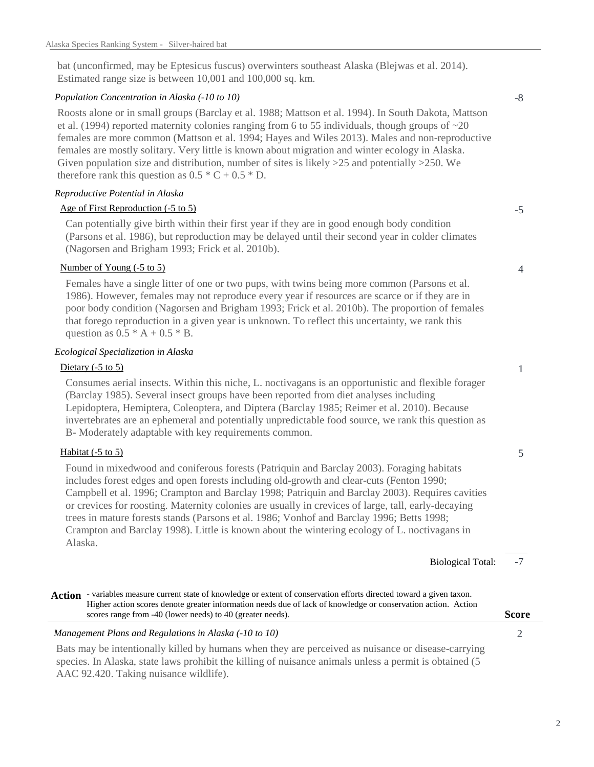bat (unconfirmed, may be Eptesicus fuscus) overwinters southeast Alaska (Blejwas et al. 2014). Estimated range size is between 10,001 and 100,000 sq. km.

#### *Population Concentration in Alaska (-10 to 10)*

Roosts alone or in small groups (Barclay et al. 1988; Mattson et al. 1994). In South Dakota, Mattson et al. (1994) reported maternity colonies ranging from 6 to 55 individuals, though groups of  $\sim$ 20 females are more common (Mattson et al. 1994; Hayes and Wiles 2013). Males and non-reproductive females are mostly solitary. Very little is known about migration and winter ecology in Alaska. Given population size and distribution, number of sites is likely  $>25$  and potentially  $>250$ . We therefore rank this question as  $0.5 * C + 0.5 * D$ .

#### *Reproductive Potential in Alaska*

### Age of First Reproduction (-5 to 5)

Can potentially give birth within their first year if they are in good enough body condition (Parsons et al. 1986), but reproduction may be delayed until their second year in colder climates (Nagorsen and Brigham 1993; Frick et al. 2010b).

#### Number of Young (-5 to 5)

Females have a single litter of one or two pups, with twins being more common (Parsons et al. 1986). However, females may not reproduce every year if resources are scarce or if they are in poor body condition (Nagorsen and Brigham 1993; Frick et al. 2010b). The proportion of females that forego reproduction in a given year is unknown. To reflect this uncertainty, we rank this question as  $0.5 * A + 0.5 * B$ .

#### *Ecological Specialization in Alaska*

#### Dietary (-5 to 5)

Consumes aerial insects. Within this niche, L. noctivagans is an opportunistic and flexible forager (Barclay 1985). Several insect groups have been reported from diet analyses including Lepidoptera, Hemiptera, Coleoptera, and Diptera (Barclay 1985; Reimer et al. 2010). Because invertebrates are an ephemeral and potentially unpredictable food source, we rank this question as B- Moderately adaptable with key requirements common.

#### Habitat (-5 to 5)

Found in mixedwood and coniferous forests (Patriquin and Barclay 2003). Foraging habitats includes forest edges and open forests including old-growth and clear-cuts (Fenton 1990; Campbell et al. 1996; Crampton and Barclay 1998; Patriquin and Barclay 2003). Requires cavities or crevices for roosting. Maternity colonies are usually in crevices of large, tall, early-decaying trees in mature forests stands (Parsons et al. 1986; Vonhof and Barclay 1996; Betts 1998; Crampton and Barclay 1998). Little is known about the wintering ecology of L. noctivagans in Alaska.

> -7 Biological Total:

Action - variables measure current state of knowledge or extent of conservation efforts directed toward a given taxon. Higher action scores denote greater information needs due of lack of knowledge or conservation action. Action scores range from -40 (lower needs) to 40 (greater needs).

# *Management Plans and Regulations in Alaska (-10 to 10)* 2 Bats may be intentionally killed by humans when they are perceived as nuisance or disease-carrying

species. In Alaska, state laws prohibit the killing of nuisance animals unless a permit is obtained (5 AAC 92.420. Taking nuisance wildlife).

2

# -8

-5

4

1

5

**Score**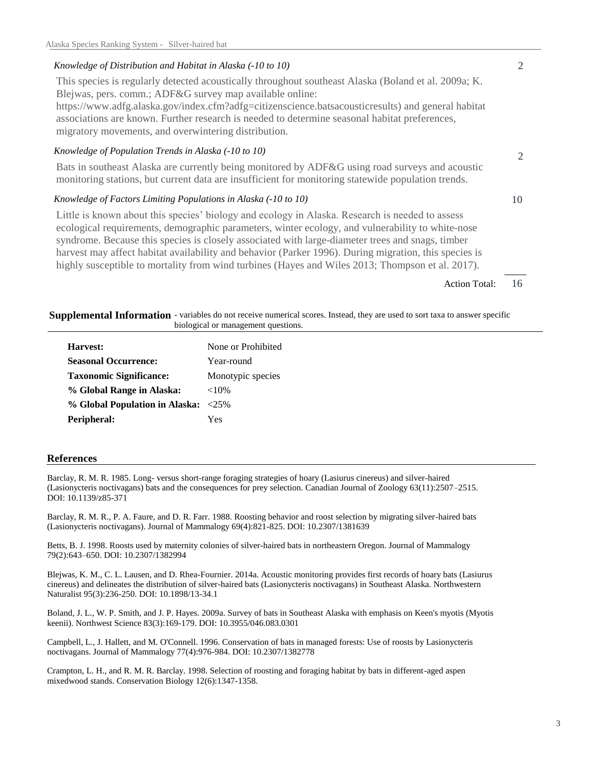### *Knowledge of Distribution and Habitat in Alaska (-10 to 10)*

This species is regularly detected acoustically throughout southeast Alaska (Boland et al. 2009a; K. Blejwas, pers. comm.; ADF&G survey map available online: https://www.adfg.alaska.gov/index.cfm?adfg=citizenscience.batsacousticresults) and general habitat associations are known. Further research is needed to determine seasonal habitat preferences, migratory movements, and overwintering distribution.

#### *Knowledge of Population Trends in Alaska (-10 to 10)*

Bats in southeast Alaska are currently being monitored by ADF&G using road surveys and acoustic monitoring stations, but current data are insufficient for monitoring statewide population trends.

#### *Knowledge of Factors Limiting Populations in Alaska (-10 to 10)*

Little is known about this species' biology and ecology in Alaska. Research is needed to assess ecological requirements, demographic parameters, winter ecology, and vulnerability to white-nose syndrome. Because this species is closely associated with large-diameter trees and snags, timber harvest may affect habitat availability and behavior (Parker 1996). During migration, this species is highly susceptible to mortality from wind turbines (Hayes and Wiles 2013; Thompson et al. 2017).

> 16 Action Total:

2

10

2

#### Supplemental Information - variables do not receive numerical scores. Instead, they are used to sort taxa to answer specific biological or management questions.

| Harvest:                            | None or Prohibited |
|-------------------------------------|--------------------|
| <b>Seasonal Occurrence:</b>         | Year-round         |
| <b>Taxonomic Significance:</b>      | Monotypic species  |
| % Global Range in Alaska:           | ${<}10\%$          |
| % Global Population in Alaska: <25% |                    |
| Peripheral:                         | Yes                |

#### **References**

Barclay, R. M. R. 1985. Long- versus short-range foraging strategies of hoary (Lasiurus cinereus) and silver-haired (Lasionycteris noctivagans) bats and the consequences for prey selection. Canadian Journal of Zoology 63(11):2507–2515. DOI: 10.1139/z85-371

Barclay, R. M. R., P. A. Faure, and D. R. Farr. 1988. Roosting behavior and roost selection by migrating silver-haired bats (Lasionycteris noctivagans). Journal of Mammalogy 69(4):821-825. DOI: 10.2307/1381639

Betts, B. J. 1998. Roosts used by maternity colonies of silver-haired bats in northeastern Oregon. Journal of Mammalogy 79(2):643–650. DOI: 10.2307/1382994

Blejwas, K. M., C. L. Lausen, and D. Rhea-Fournier. 2014a. Acoustic monitoring provides first records of hoary bats (Lasiurus cinereus) and delineates the distribution of silver-haired bats (Lasionycteris noctivagans) in Southeast Alaska. Northwestern Naturalist 95(3):236-250. DOI: 10.1898/13-34.1

Boland, J. L., W. P. Smith, and J. P. Hayes. 2009a. Survey of bats in Southeast Alaska with emphasis on Keen's myotis (Myotis keenii). Northwest Science 83(3):169-179. DOI: 10.3955/046.083.0301

Campbell, L., J. Hallett, and M. O'Connell. 1996. Conservation of bats in managed forests: Use of roosts by Lasionycteris noctivagans. Journal of Mammalogy 77(4):976-984. DOI: 10.2307/1382778

Crampton, L. H., and R. M. R. Barclay. 1998. Selection of roosting and foraging habitat by bats in different-aged aspen mixedwood stands. Conservation Biology 12(6):1347-1358.